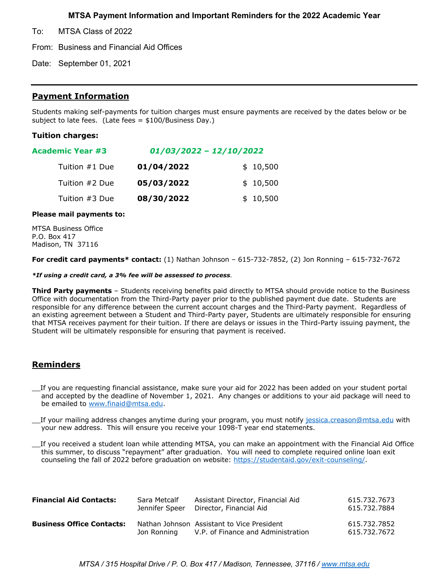## **MTSA Payment Information and Important Reminders for the 2022 Academic Year**

To: MTSA Class of 2022

From: Business and Financial Aid Offices

Date: September 01, 2021

### **Payment Information**

Students making self-payments for tuition charges must ensure payments are received by the dates below or be subject to late fees. (Late fees = \$100/Business Day.)

#### **Tuition charges:**

| <b>Academic Year #3</b> | $01/03/2022 - 12/10/2022$ |          |  |  |
|-------------------------|---------------------------|----------|--|--|
| Tuition #1 Due          | 01/04/2022                | \$10,500 |  |  |
| Tuition #2 Due          | 05/03/2022                | \$10,500 |  |  |
| Tuition #3 Due          | 08/30/2022                | \$10,500 |  |  |

#### **Please mail payments to:**

MTSA Business Office P.O. Box 417 Madison, TN 37116

**For credit card payments\* contact:** (1) Nathan Johnson – 615-732-7852, (2) Jon Ronning – 615-732-7672

#### *\*If using a credit card, a 3% fee will be assessed to process.*

**Third Party payments** – Students receiving benefits paid directly to MTSA should provide notice to the Business Office with documentation from the Third-Party payer prior to the published payment due date. Students are responsible for any difference between the current account charges and the Third-Party payment. Regardless of an existing agreement between a Student and Third-Party payer, Students are ultimately responsible for ensuring that MTSA receives payment for their tuition. If there are delays or issues in the Third-Party issuing payment, the Student will be ultimately responsible for ensuring that payment is received.

# **Reminders**

\_\_If you are requesting financial assistance, make sure your aid for 2022 has been added on your student portal and accepted by the deadline of November 1, 2021. Any changes or additions to your aid package will need to be emailed to www.finaid@mtsa.edu.

If your mailing address changes anytime during your program, you must notify jessica.creason@mtsa.edu with your new address. This will ensure you receive your 1098-T year end statements.

\_\_If you received a student loan while attending MTSA, you can make an appointment with the Financial Aid Office this summer, to discuss "repayment" after graduation. You will need to complete required online loan exit counseling the fall of 2022 before graduation on website: https://studentaid.gov/exit-counseling/.

| <b>Financial Aid Contacts:</b>   | Sara Metcalf   | Assistant Director, Financial Aid                                                | 615.732.7673                 |
|----------------------------------|----------------|----------------------------------------------------------------------------------|------------------------------|
|                                  | Jennifer Speer | Director, Financial Aid                                                          | 615.732.7884                 |
| <b>Business Office Contacts:</b> | Jon Ronning    | Nathan Johnson Assistant to Vice President<br>V.P. of Finance and Administration | 615.732.7852<br>615.732.7672 |